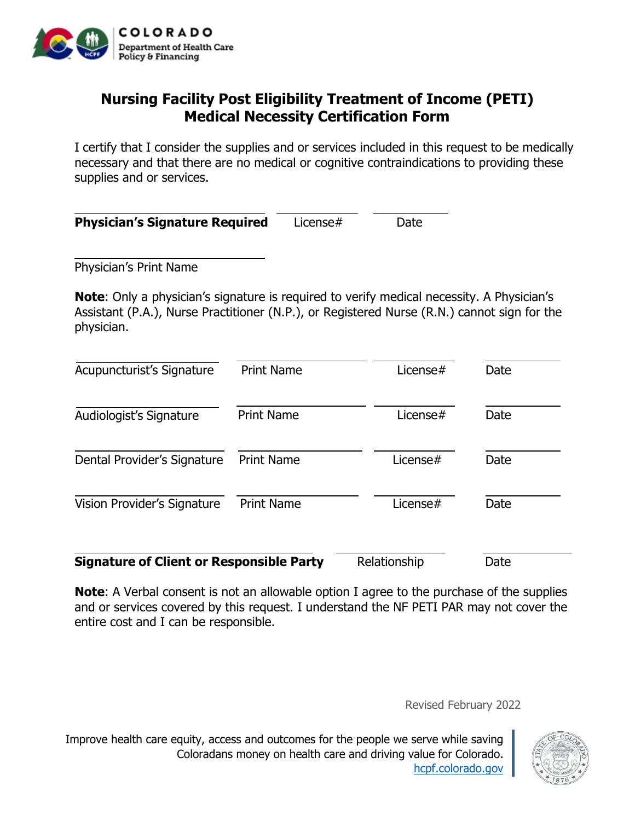

## **Nursing Facility Post Eligibility Treatment of Income (PETI) Medical Necessity Certification Form**

I certify that I consider the supplies and or services included in this request to be medically necessary and that there are no medical or cognitive contraindications to providing these supplies and or services.

| <b>Physician's Signature Required</b> | License# | Date |
|---------------------------------------|----------|------|
|---------------------------------------|----------|------|

Physician's Print Name

**Note:** Only a physician's signature is required to verify medical necessity. A Physician's Assistant (P.A.), Nurse Practitioner (N.P.), or Registered Nurse (R.N.) cannot sign for the physician.

| Acupuncturist's Signature                       | <b>Print Name</b> | License $#$  | Date |
|-------------------------------------------------|-------------------|--------------|------|
| Audiologist's Signature                         | <b>Print Name</b> | License $#$  | Date |
| Dental Provider's Signature                     | <b>Print Name</b> | License $#$  | Date |
| Vision Provider's Signature                     | <b>Print Name</b> | License#     | Date |
| <b>Signature of Client or Responsible Party</b> |                   | Relationship | Date |

**Note:** A Verbal consent is not an allowable option I agree to the purchase of the supplies and or services covered by this request. I understand the NF PETI PAR may not cover the entire cost and I can be responsible.

Revised February 2022

Improve health care equity, access and outcomes for the people we serve while saving Coloradans money on health care and driving value for Colorado. [hcpf.colorado.gov](https://hcpf.colorado.gov/)